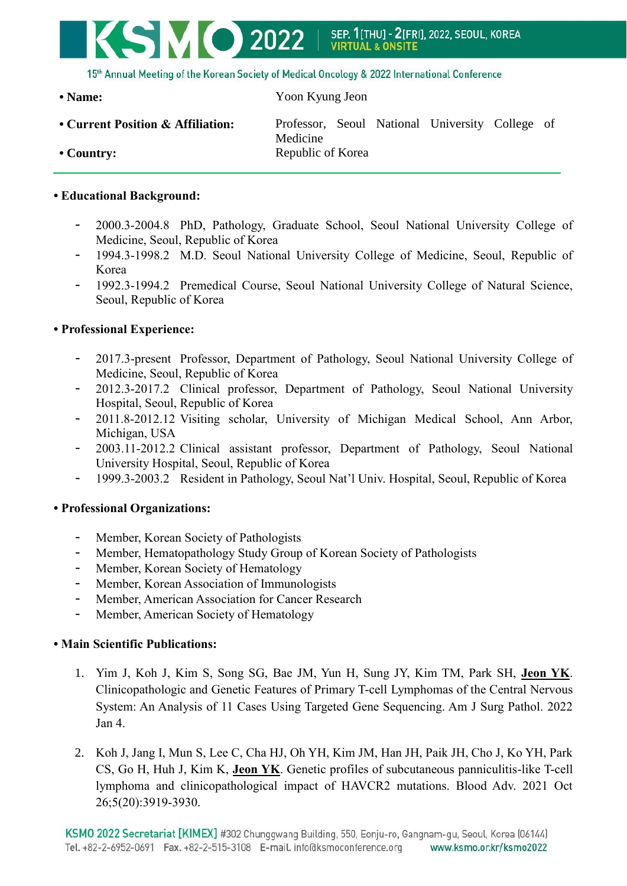

15th Annual Meeting of the Korean Society of Medical Oncology & 2022 International Conference

**• Name:** Yoon Kyung Jeon

**• Current Position & Affiliation:** Professor, Seoul National University College of Medicine • Country: Republic of Korea

## **• Educational Background:**

- 2000.3-2004.8 PhD, Pathology, Graduate School, Seoul National University College of Medicine, Seoul, Republic of Korea
- 1994.3-1998.2 M.D. Seoul National University College of Medicine, Seoul, Republic of Korea
- 1992.3-1994.2 Premedical Course, Seoul National University College of Natural Science, Seoul, Republic of Korea

## **• Professional Experience:**

- 2017.3-present Professor, Department of Pathology, Seoul National University College of Medicine, Seoul, Republic of Korea
- 2012.3-2017.2 Clinical professor, Department of Pathology, Seoul National University Hospital, Seoul, Republic of Korea
- 2011.8-2012.12 Visiting scholar, University of Michigan Medical School, Ann Arbor, Michigan, USA
- 2003.11-2012.2 Clinical assistant professor, Department of Pathology, Seoul National University Hospital, Seoul, Republic of Korea
- 1999.3-2003.2 Resident in Pathology, Seoul Nat'l Univ. Hospital, Seoul, Republic of Korea

## **• Professional Organizations:**

- Member, Korean Society of Pathologists
- Member, Hematopathology Study Group of Korean Society of Pathologists
- Member, Korean Society of Hematology
- Member, Korean Association of Immunologists
- Member, American Association for Cancer Research
- Member, American Society of Hematology

## **• Main Scientific Publications:**

- 1. Yim J, Koh J, Kim S, Song SG, Bae JM, Yun H, Sung JY, Kim TM, Park SH, **Jeon YK**. Clinicopathologic and Genetic Features of Primary T-cell Lymphomas of the Central Nervous System: An Analysis of 11 Cases Using Targeted Gene Sequencing. Am J Surg Pathol. 2022 Jan 4.
- 2. Koh J, Jang I, Mun S, Lee C, Cha HJ, Oh YH, Kim JM, Han JH, Paik JH, Cho J, Ko YH, Park CS, Go H, Huh J, Kim K, **Jeon YK**. Genetic profiles of subcutaneous panniculitis-like T-cell lymphoma and clinicopathological impact of HAVCR2 mutations. Blood Adv. 2021 Oct 26;5(20):3919-3930.